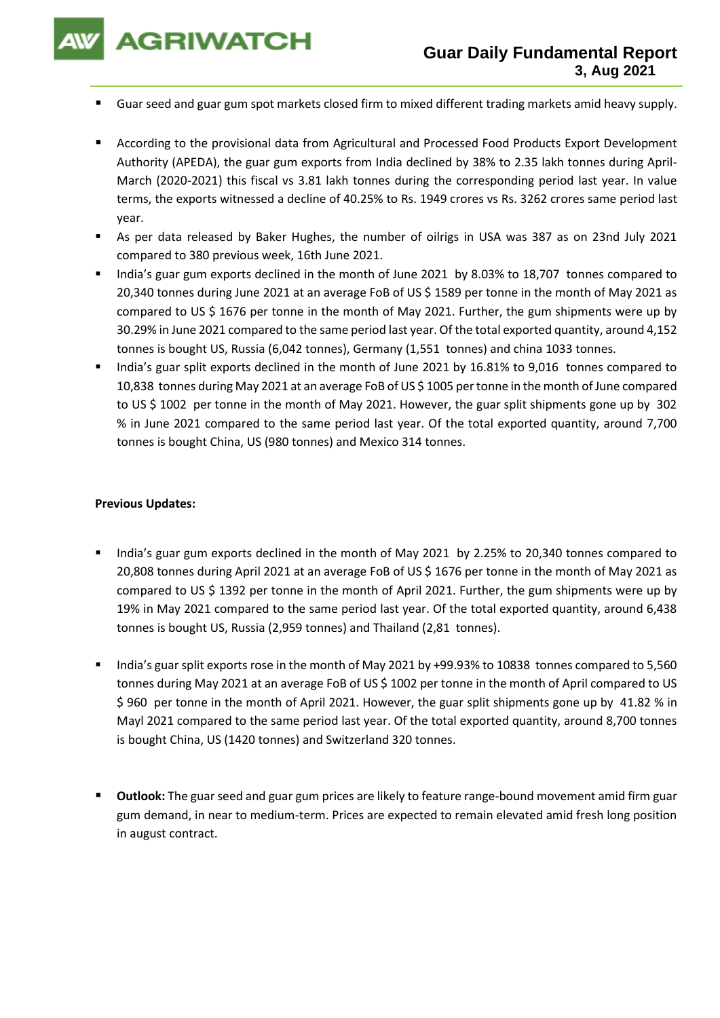**AGRIWATCH** 

- Guar seed and guar gum spot markets closed firm to mixed different trading markets amid heavy supply.
- According to the provisional data from Agricultural and Processed Food Products Export Development Authority (APEDA), the guar gum exports from India declined by 38% to 2.35 lakh tonnes during April-March (2020-2021) this fiscal vs 3.81 lakh tonnes during the corresponding period last year. In value terms, the exports witnessed a decline of 40.25% to Rs. 1949 crores vs Rs. 3262 crores same period last year.
- As per data released by Baker Hughes, the number of oilrigs in USA was 387 as on 23nd July 2021 compared to 380 previous week, 16th June 2021.
- India's guar gum exports declined in the month of June 2021 by 8.03% to 18,707 tonnes compared to 20,340 tonnes during June 2021 at an average FoB of US \$ 1589 per tonne in the month of May 2021 as compared to US \$ 1676 per tonne in the month of May 2021. Further, the gum shipments were up by 30.29% in June 2021 compared to the same period last year. Of the total exported quantity, around 4,152 tonnes is bought US, Russia (6,042 tonnes), Germany (1,551 tonnes) and china 1033 tonnes.
- India's guar split exports declined in the month of June 2021 by 16.81% to 9,016 tonnes compared to 10,838 tonnes during May 2021 at an average FoB of US \$ 1005 per tonne in the month of June compared to US \$ 1002 per tonne in the month of May 2021. However, the guar split shipments gone up by 302 % in June 2021 compared to the same period last year. Of the total exported quantity, around 7,700 tonnes is bought China, US (980 tonnes) and Mexico 314 tonnes.

## **Previous Updates:**

- India's guar gum exports declined in the month of May 2021 by 2.25% to 20,340 tonnes compared to 20,808 tonnes during April 2021 at an average FoB of US \$ 1676 per tonne in the month of May 2021 as compared to US \$ 1392 per tonne in the month of April 2021. Further, the gum shipments were up by 19% in May 2021 compared to the same period last year. Of the total exported quantity, around 6,438 tonnes is bought US, Russia (2,959 tonnes) and Thailand (2,81 tonnes).
- India's guar split exports rose in the month of May 2021 by +99.93% to 10838 tonnes compared to 5,560 tonnes during May 2021 at an average FoB of US \$ 1002 per tonne in the month of April compared to US \$ 960 per tonne in the month of April 2021. However, the guar split shipments gone up by 41.82 % in Mayl 2021 compared to the same period last year. Of the total exported quantity, around 8,700 tonnes is bought China, US (1420 tonnes) and Switzerland 320 tonnes.
- **Outlook:** The guar seed and guar gum prices are likely to feature range-bound movement amid firm guar gum demand, in near to medium-term. Prices are expected to remain elevated amid fresh long position in august contract.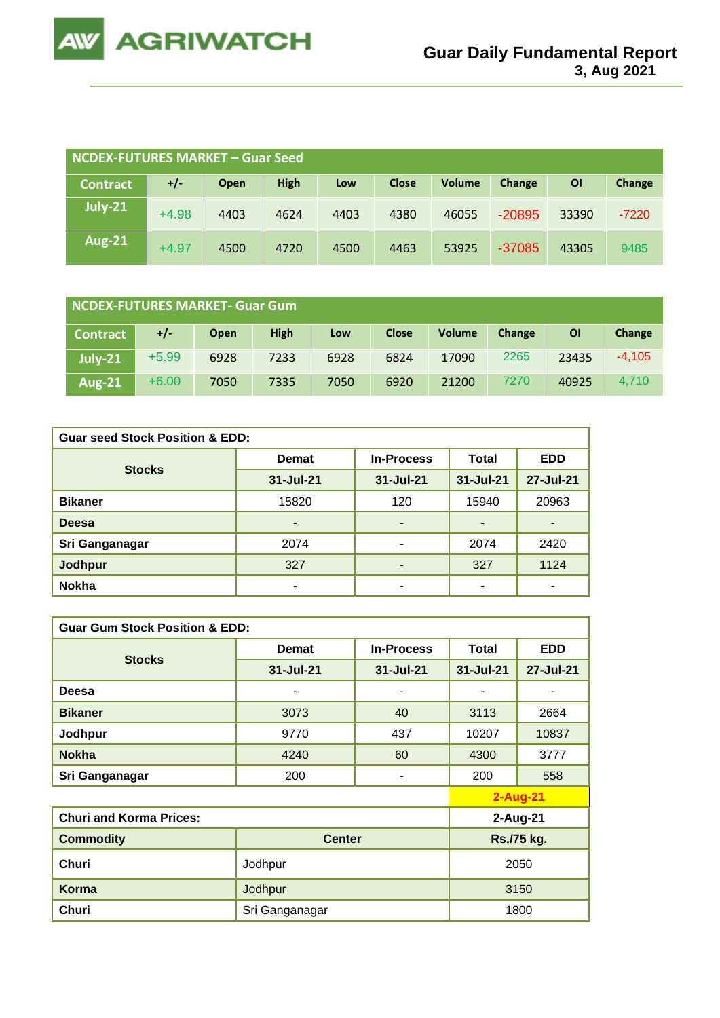

| NCDEX-FUTURES MARKET - Guar Seed |         |      |             |      |              |               |          |       |         |
|----------------------------------|---------|------|-------------|------|--------------|---------------|----------|-------|---------|
| <b>Contract</b>                  | +/-     | Open | <b>High</b> | Low  | <b>Close</b> | <b>Volume</b> | Change   | ΟI    | Change  |
| July-21                          | $+4.98$ | 4403 | 4624        | 4403 | 4380         | 46055         | $-20895$ | 33390 | $-7220$ |
| <b>Aug-21</b>                    | $+4.97$ | 4500 | 4720        | 4500 | 4463         | 53925         | $-37085$ | 43305 | 9485    |

| NCDEX-FUTURES MARKET- Guar Gum |         |             |             |      |              |               |        |                |          |
|--------------------------------|---------|-------------|-------------|------|--------------|---------------|--------|----------------|----------|
| <b>Contract</b>                | +/-     | <b>Open</b> | <b>High</b> | Low  | <b>Close</b> | <b>Volume</b> | Change | $\overline{O}$ | Change   |
| $ $ July-21                    | $+5.99$ | 6928        | 7233        | 6928 | 6824         | 17090         | 2265   | 23435          | $-4.105$ |
| <b>Aug-21</b>                  | $+6.00$ | 7050        | 7335        | 7050 | 6920         | 21200         | 7270   | 40925          | 4.710    |

| <b>Guar seed Stock Position &amp; EDD:</b> |                          |                   |           |                |  |  |  |  |
|--------------------------------------------|--------------------------|-------------------|-----------|----------------|--|--|--|--|
| <b>Stocks</b>                              | <b>Demat</b>             | <b>In-Process</b> | Total     | <b>EDD</b>     |  |  |  |  |
|                                            | 31-Jul-21                | 31-Jul-21         | 31-Jul-21 | 27-Jul-21      |  |  |  |  |
| <b>Bikaner</b>                             | 15820                    | 120               | 15940     | 20963          |  |  |  |  |
| <b>Deesa</b>                               | $\overline{\phantom{0}}$ | ٠                 | -         | $\blacksquare$ |  |  |  |  |
| Sri Ganganagar                             | 2074                     | ٠                 | 2074      | 2420           |  |  |  |  |
| Jodhpur                                    | 327                      | ٠                 | 327       | 1124           |  |  |  |  |
| <b>Nokha</b>                               | ۰                        | ۰                 | ٠         | ۰              |  |  |  |  |

| <b>Guar Gum Stock Position &amp; EDD:</b> |                |                   |              |            |  |  |  |  |
|-------------------------------------------|----------------|-------------------|--------------|------------|--|--|--|--|
| <b>Stocks</b>                             | <b>Demat</b>   | <b>In-Process</b> | <b>Total</b> | <b>EDD</b> |  |  |  |  |
|                                           | 31-Jul-21      | 31-Jul-21         | 31-Jul-21    | 27-Jul-21  |  |  |  |  |
| Deesa                                     |                | ٠                 |              |            |  |  |  |  |
| <b>Bikaner</b>                            | 3073           | 40                | 3113         | 2664       |  |  |  |  |
| Jodhpur                                   | 9770           | 437               | 10207        | 10837      |  |  |  |  |
| <b>Nokha</b>                              | 4240           | 60                | 4300         | 3777       |  |  |  |  |
| Sri Ganganagar                            | 200            | ۰                 | 200          | 558        |  |  |  |  |
|                                           |                |                   |              | $2-Aug-21$ |  |  |  |  |
| <b>Churi and Korma Prices:</b>            |                | 2-Aug-21          |              |            |  |  |  |  |
| <b>Commodity</b>                          | <b>Center</b>  |                   | Rs./75 kg.   |            |  |  |  |  |
| <b>Churi</b>                              | Jodhpur        | 2050              |              |            |  |  |  |  |
| Korma                                     | Jodhpur        | 3150              |              |            |  |  |  |  |
| Churi                                     | Sri Ganganagar |                   | 1800         |            |  |  |  |  |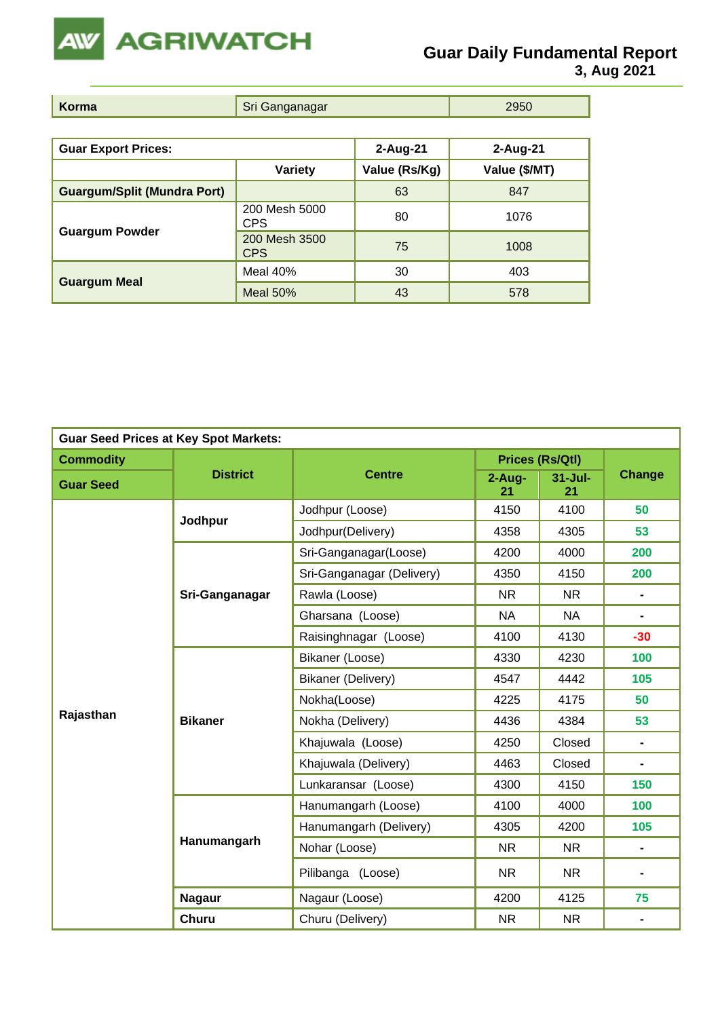

**3, Aug 2021**

| Korma | $- - - -$<br>$\sim$ | - 11 |
|-------|---------------------|------|

| <b>Guar Export Prices:</b>         |                             | $2-Aug-21$    | $2-Aug-21$    |
|------------------------------------|-----------------------------|---------------|---------------|
|                                    | <b>Variety</b>              | Value (Rs/Kg) | Value (\$/MT) |
| <b>Guargum/Split (Mundra Port)</b> |                             | 63            | 847           |
|                                    | 200 Mesh 5000<br><b>CPS</b> | 80            | 1076          |
| <b>Guargum Powder</b>              | 200 Mesh 3500<br><b>CPS</b> | 75            | 1008          |
|                                    | Meal 40%                    | 30            | 403           |
| <b>Guargum Meal</b>                | Meal $50%$                  | 43            | 578           |

| <b>Guar Seed Prices at Key Spot Markets:</b> |                 |                           |                |                        |                |  |  |
|----------------------------------------------|-----------------|---------------------------|----------------|------------------------|----------------|--|--|
| <b>Commodity</b>                             |                 |                           |                | <b>Prices (Rs/Qtl)</b> |                |  |  |
| <b>Guar Seed</b>                             | <b>District</b> | <b>Centre</b>             | $2-Aug-$<br>21 | $31 -$ Jul-<br>21      | <b>Change</b>  |  |  |
|                                              | Jodhpur         | Jodhpur (Loose)           | 4150           | 4100                   | 50             |  |  |
|                                              |                 | Jodhpur(Delivery)         | 4358           | 4305                   | 53             |  |  |
|                                              |                 | Sri-Ganganagar(Loose)     | 4200           | 4000                   | 200            |  |  |
|                                              |                 | Sri-Ganganagar (Delivery) | 4350           | 4150                   | 200            |  |  |
|                                              | Sri-Ganganagar  | Rawla (Loose)             | <b>NR</b>      | <b>NR</b>              | $\blacksquare$ |  |  |
|                                              |                 | Gharsana (Loose)          | <b>NA</b>      | <b>NA</b>              | ٠              |  |  |
|                                              |                 | Raisinghnagar (Loose)     | 4100           | 4130                   | $-30$          |  |  |
|                                              | <b>Bikaner</b>  | Bikaner (Loose)           | 4330           | 4230                   | 100            |  |  |
|                                              |                 | Bikaner (Delivery)        | 4547           | 4442                   | 105            |  |  |
|                                              |                 | Nokha(Loose)              | 4225           | 4175                   | 50             |  |  |
| Rajasthan                                    |                 | Nokha (Delivery)          | 4436           | 4384                   | 53             |  |  |
|                                              |                 | Khajuwala (Loose)         | 4250           | Closed                 | $\blacksquare$ |  |  |
|                                              |                 | Khajuwala (Delivery)      | 4463           | Closed                 | $\blacksquare$ |  |  |
|                                              |                 | Lunkaransar (Loose)       | 4300           | 4150                   | 150            |  |  |
|                                              |                 | Hanumangarh (Loose)       | 4100           | 4000                   | 100            |  |  |
|                                              |                 | Hanumangarh (Delivery)    | 4305           | 4200                   | 105            |  |  |
|                                              | Hanumangarh     | Nohar (Loose)             | <b>NR</b>      | <b>NR</b>              | $\blacksquare$ |  |  |
|                                              |                 | Pilibanga (Loose)         | <b>NR</b>      | <b>NR</b>              |                |  |  |
|                                              | <b>Nagaur</b>   | Nagaur (Loose)            | 4200           | 4125                   | 75             |  |  |
|                                              | Churu           | Churu (Delivery)          | <b>NR</b>      | <b>NR</b>              |                |  |  |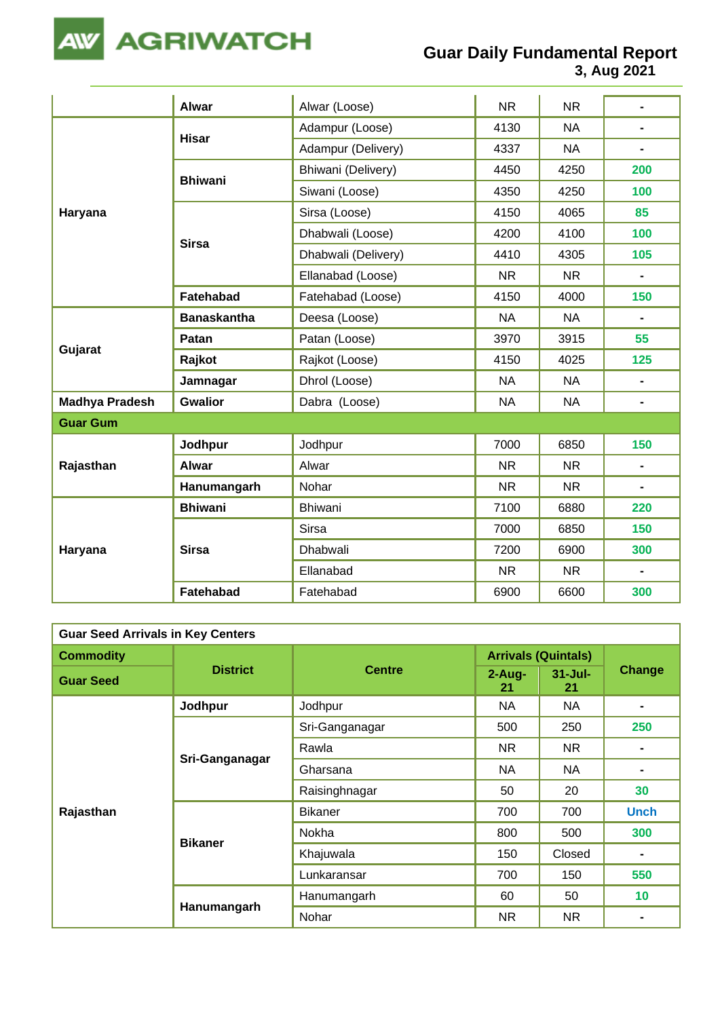

## **Guar Daily Fundamental Report**

**3, Aug 2021**

|                       | <b>Alwar</b>       | Alwar (Loose)       | <b>NR</b> | <b>NR</b> | $\blacksquare$ |
|-----------------------|--------------------|---------------------|-----------|-----------|----------------|
|                       |                    | Adampur (Loose)     | 4130      | <b>NA</b> | $\blacksquare$ |
|                       | <b>Hisar</b>       | Adampur (Delivery)  | 4337      | <b>NA</b> | $\blacksquare$ |
|                       |                    | Bhiwani (Delivery)  | 4450      | 4250      | 200            |
|                       | <b>Bhiwani</b>     | Siwani (Loose)      | 4350      | 4250      | 100            |
| Haryana               |                    | Sirsa (Loose)       | 4150      | 4065      | 85             |
|                       | <b>Sirsa</b>       | Dhabwali (Loose)    | 4200      | 4100      | 100            |
|                       |                    | Dhabwali (Delivery) | 4410      | 4305      | 105            |
|                       |                    | Ellanabad (Loose)   | <b>NR</b> | <b>NR</b> |                |
|                       | Fatehabad          | Fatehabad (Loose)   | 4150      | 4000      | 150            |
|                       | <b>Banaskantha</b> | Deesa (Loose)       | <b>NA</b> | <b>NA</b> | $\blacksquare$ |
| Gujarat               | Patan              | Patan (Loose)       | 3970      | 3915      | 55             |
|                       | Rajkot             | Rajkot (Loose)      | 4150      | 4025      | 125            |
|                       | Jamnagar           | Dhrol (Loose)       | <b>NA</b> | <b>NA</b> | $\blacksquare$ |
| <b>Madhya Pradesh</b> | <b>Gwalior</b>     | Dabra (Loose)       | <b>NA</b> | <b>NA</b> | $\blacksquare$ |
| <b>Guar Gum</b>       |                    |                     |           |           |                |
|                       | Jodhpur            | Jodhpur             | 7000      | 6850      | 150            |
| Rajasthan             | <b>Alwar</b>       | Alwar               | <b>NR</b> | <b>NR</b> | $\blacksquare$ |
|                       | Hanumangarh        | Nohar               | <b>NR</b> | <b>NR</b> | $\blacksquare$ |
|                       | <b>Bhiwani</b>     | Bhiwani             | 7100      | 6880      | 220            |
| Haryana               |                    | <b>Sirsa</b>        | 7000      | 6850      | 150            |
|                       | <b>Sirsa</b>       | Dhabwali            | 7200      | 6900      | 300            |
|                       |                    | Ellanabad           | <b>NR</b> | <b>NR</b> | $\blacksquare$ |
|                       | <b>Fatehabad</b>   | Fatehabad           | 6900      | 6600      | 300            |

| <b>Guar Seed Arrivals in Key Centers</b> |                 |                |                            |                   |                |  |  |
|------------------------------------------|-----------------|----------------|----------------------------|-------------------|----------------|--|--|
| <b>Commodity</b>                         |                 | <b>Centre</b>  | <b>Arrivals (Quintals)</b> |                   |                |  |  |
| <b>Guar Seed</b>                         | <b>District</b> |                | $2 - Aug -$<br>21          | $31 -$ Jul-<br>21 | Change         |  |  |
|                                          | Jodhpur         | Jodhpur        | <b>NA</b>                  | <b>NA</b>         |                |  |  |
|                                          |                 | Sri-Ganganagar | 500                        | 250               | 250            |  |  |
|                                          | Sri-Ganganagar  | Rawla          | <b>NR</b>                  | NR.               |                |  |  |
|                                          |                 | Gharsana       | NA                         | <b>NA</b>         |                |  |  |
|                                          |                 | Raisinghnagar  | 50                         | 20                | 30             |  |  |
| Rajasthan                                |                 | <b>Bikaner</b> | 700                        | 700               | <b>Unch</b>    |  |  |
|                                          |                 | Nokha          | 800                        | 500               | 300            |  |  |
|                                          | <b>Bikaner</b>  | Khajuwala      | 150                        | Closed            | $\blacksquare$ |  |  |
|                                          |                 | Lunkaransar    | 700                        | 150               | 550            |  |  |
|                                          | Hanumangarh     | Hanumangarh    | 60                         | 50                | 10             |  |  |
|                                          |                 | Nohar          | <b>NR</b>                  | NR.               |                |  |  |